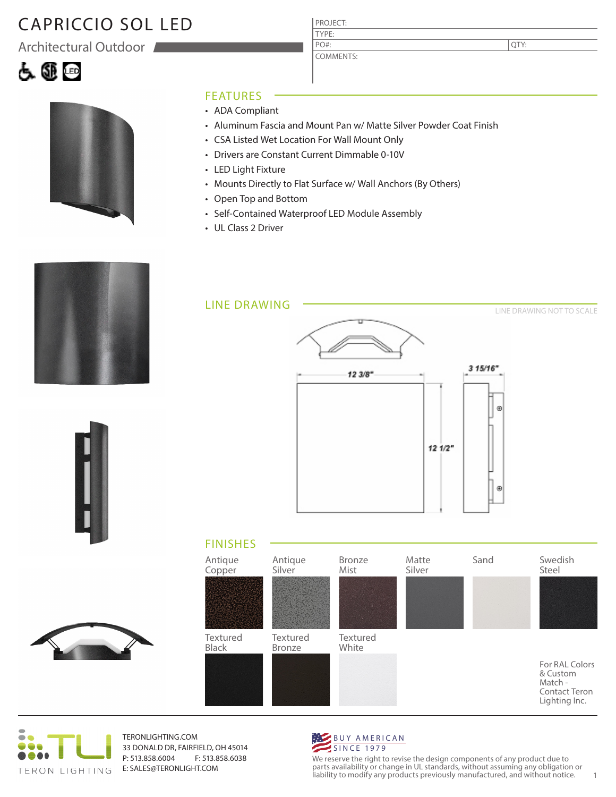# CAPRICCIO SOL LED

Architectural Outdoor





#### FEATURES

- ADA Compliant
- Aluminum Fascia and Mount Pan w/ Matte Silver Powder Coat Finish
- CSA Listed Wet Location For Wall Mount Only
- Drivers are Constant Current Dimmable 0-10V
- LED Light Fixture
- Mounts Directly to Flat Surface w/ Wall Anchors (By Others)

PROJECT: TYPE:

PO#:

COMMENTS:

- Open Top and Bottom
- Self-Contained Waterproof LED Module Assembly
- UL Class 2 Driver











TERONLIGHTING.COM 33 DONALD DR, FAIRFIELD, OH 45014 P: 513.858.6004 F: 513.858.6038 E: SALES@TERONLIGHT.COM



We reserve the right to revise the design components of any product due to parts availability or change in UL standards, without assuming any obligation or liability to modify any products previously manufactured, and without notice. 1

QTY: